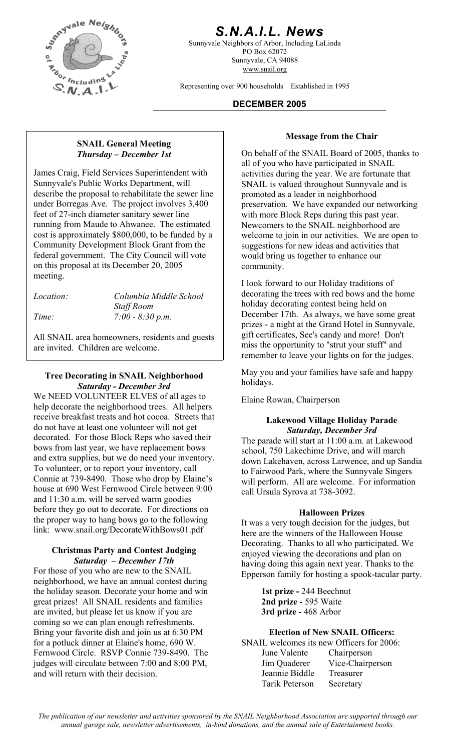

# *S.N.A.I.L. News*

Sunnyvale Neighbors of Arbor, Including LaLinda PO Box 62072 Sunnyvale, CA 94088 www.snail.org

Representing over 900 households Established in 1995

#### **DECEMBER 2005**

## **Message from the Chair SNAIL General Meeting**  *Thursday – December 1st*

James Craig, Field Services Superintendent with Sunnyvale's Public Works Department, will describe the proposal to rehabilitate the sewer line under Borregas Ave. The project involves 3,400 feet of 27-inch diameter sanitary sewer line running from Maude to Ahwanee. The estimated cost is approximately \$800,000, to be funded by a Community Development Block Grant from the federal government. The City Council will vote on this proposal at its December 20, 2005 meeting.<br>I look forward to our Holiday traditions of

| Location: |  |
|-----------|--|
|           |  |

*Location: Columbia Middle School Staff Room Time: 7:00 - 8:30 p.m.* 

All SNAIL area homeowners, residents and guests are invited. Children are welcome.

#### **Tree Decorating in SNAIL Neighborhood** May you<br>Saturday **December** 3rd holidays. *Saturday - December 3rd*

We NEED VOLUNTEER ELVES of all ages to help decorate the neighborhood trees. All helpers receive breakfast treats and hot cocoa. Streets that do not have at least one volunteer will not get decorated. For those Block Reps who saved their bows from last year, we have replacement bows and extra supplies, but we do need your inventory. To volunteer, or to report your inventory, call Connie at 739-8490. Those who drop by Elaine's house at 690 West Fernwood Circle between 9:00 and 11:30 a.m. will be served warm goodies before they go out to decorate. For directions on the proper way to hang bows go to the following link: www.snail.org/DecorateWithBows01.pdf

#### **Christmas Party and Contest Judging**  *Saturday – December 17th*

For those of you who are new to the SNAIL neighborhood, we have an annual contest during the holiday season. Decorate your home and win great prizes! All SNAIL residents and families are invited, but please let us know if you are coming so we can plan enough refreshments. Bring your favorite dish and join us at 6:30 PM for a potluck dinner at Elaine's home, 690 W. Fernwood Circle. RSVP Connie 739-8490. The judges will circulate between 7:00 and 8:00 PM, and will return with their decision.

On behalf of the SNAIL Board of 2005, thanks to all of you who have participated in SNAIL activities during the year. We are fortunate that SNAIL is valued throughout Sunnyvale and is promoted as a leader in neighborhood preservation. We have expanded our networking with more Block Reps during this past year. Newcomers to the SNAIL neighborhood are welcome to join in our activities. We are open to suggestions for new ideas and activities that would bring us together to enhance our community.

decorating the trees with red bows and the home holiday decorating contest being held on December 17th. As always, we have some great prizes - a night at the Grand Hotel in Sunnyvale, gift certificates, See's candy and more! Don't miss the opportunity to "strut your stuff" and remember to leave your lights on for the judges.

May you and your families have safe and happy

Elaine Rowan, Chairperson

#### **Lakewood Village Holiday Parade**  *Saturday, December 3rd*

The parade will start at 11:00 a.m. at Lakewood school, 750 Lakechime Drive, and will march down Lakehaven, across Larwence, and up Sandia to Fairwood Park, where the Sunnyvale Singers will perform. All are welcome. For information call Ursula Syrova at 738-3092.

#### **Halloween Prizes**

It was a very tough decision for the judges, but here are the winners of the Halloween House Decorating. Thanks to all who participated. We enjoyed viewing the decorations and plan on having doing this again next year. Thanks to the Epperson family for hosting a spook-tacular party.

> **1st prize -** 244 Beechnut **2nd prize -** 595 Waite **3rd prize -** 468 Arbor

#### **Election of New SNAIL Officers:**

| SNAIL welcomes its new Officers for 2006: |                  |
|-------------------------------------------|------------------|
| June Valente                              | Chairperson      |
| Jim Quaderer                              | Vice-Chairperson |
| Jeannie Biddle                            | Treasurer        |
| Tarik Peterson                            | Secretary        |

*The publication of our newsletter and activities sponsored by the SNAIL Neighborhood Association are supported through our annual garage sale, newsletter advertisements, in-kind donations, and the annual sale of Entertainment books.*